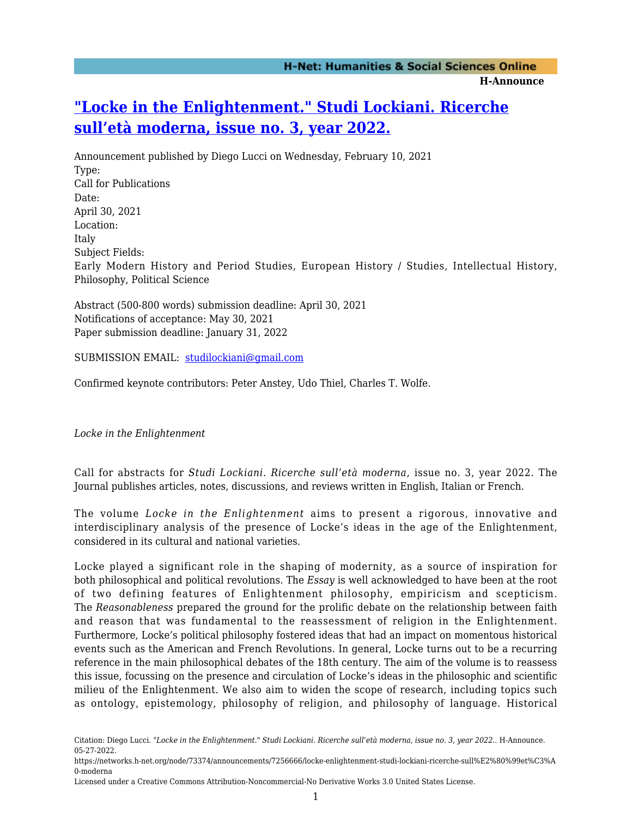## **["Locke in the Enlightenment." Studi Lockiani. Ricerche](https://networks.h-net.org/node/73374/announcements/7256666/locke-enlightenment-studi-lockiani-ricerche-sull%E2%80%99et%C3%A0-moderna) [sull'età moderna, issue no. 3, year 2022.](https://networks.h-net.org/node/73374/announcements/7256666/locke-enlightenment-studi-lockiani-ricerche-sull%E2%80%99et%C3%A0-moderna)**

Announcement published by Diego Lucci on Wednesday, February 10, 2021 Type: Call for Publications Date: April 30, 2021 Location: Italy Subject Fields: Early Modern History and Period Studies, European History / Studies, Intellectual History, Philosophy, Political Science

Abstract (500-800 words) submission deadline: April 30, 2021 Notifications of acceptance: May 30, 2021 Paper submission deadline: January 31, 2022

SUBMISSION EMAIL: [studilockiani@gmail.com](mailto:studilockiani@gmail.com)

Confirmed keynote contributors: Peter Anstey, Udo Thiel, Charles T. Wolfe.

*Locke in the Enlightenment*

Call for abstracts for *Studi Lockiani. Ricerche sull'età moderna*, issue no. 3, year 2022. The Journal publishes articles, notes, discussions, and reviews written in English, Italian or French.

The volume *Locke in the Enlightenment* aims to present a rigorous, innovative and interdisciplinary analysis of the presence of Locke's ideas in the age of the Enlightenment, considered in its cultural and national varieties.

Locke played a significant role in the shaping of modernity, as a source of inspiration for both philosophical and political revolutions. The *Essay* is well acknowledged to have been at the root of two defining features of Enlightenment philosophy, empiricism and scepticism. The *Reasonableness* prepared the ground for the prolific debate on the relationship between faith and reason that was fundamental to the reassessment of religion in the Enlightenment. Furthermore, Locke's political philosophy fostered ideas that had an impact on momentous historical events such as the American and French Revolutions. In general, Locke turns out to be a recurring reference in the main philosophical debates of the 18th century. The aim of the volume is to reassess this issue, focussing on the presence and circulation of Locke's ideas in the philosophic and scientific milieu of the Enlightenment. We also aim to widen the scope of research, including topics such as ontology, epistemology, philosophy of religion, and philosophy of language. Historical

Citation: Diego Lucci. *"Locke in the Enlightenment." Studi Lockiani. Ricerche sull'età moderna, issue no. 3, year 2022.*. H-Announce. 05-27-2022.

https://networks.h-net.org/node/73374/announcements/7256666/locke-enlightenment-studi-lockiani-ricerche-sull%E2%80%99et%C3%A 0-moderna

Licensed under a Creative Commons Attribution-Noncommercial-No Derivative Works 3.0 United States License.